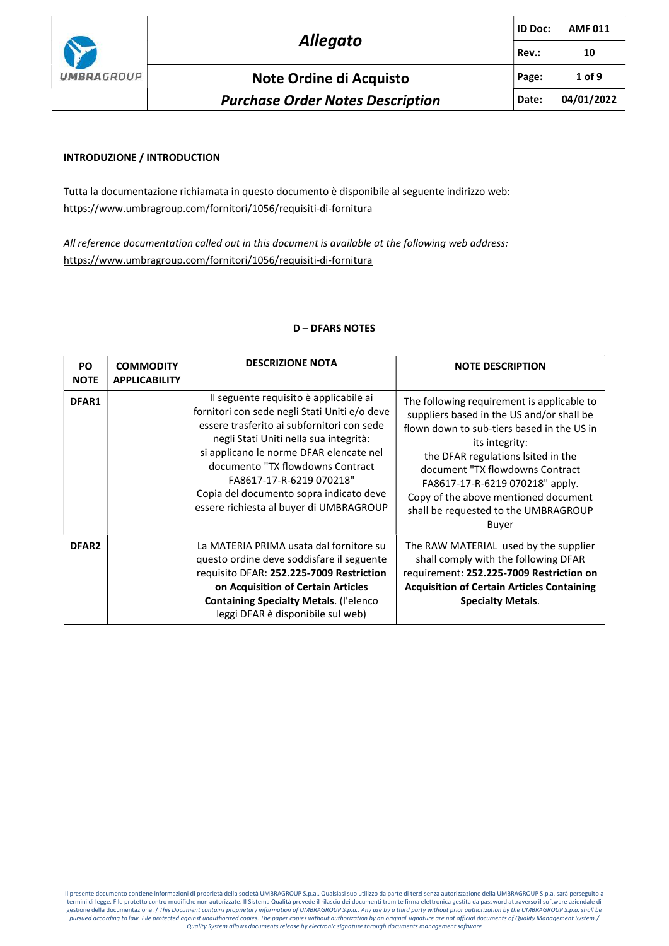

#### INTRODUZIONE / INTRODUCTION

Tutta la documentazione richiamata in questo documento è disponibile al seguente indirizzo web: https://www.umbragroup.com/fornitori/1056/requisiti-di-fornitura

All reference documentation called out in this document is available at the following web address: https://www.umbragroup.com/fornitori/1056/requisiti-di-fornitura

#### D – DFARS NOTES

| <b>PO</b><br><b>NOTE</b> | <b>COMMODITY</b><br><b>APPLICABILITY</b> | <b>DESCRIZIONE NOTA</b>                                                                                                                                                                                                                                                                                                                                                          | <b>NOTE DESCRIPTION</b>                                                                                                                                                                                                                                                                                                                                       |
|--------------------------|------------------------------------------|----------------------------------------------------------------------------------------------------------------------------------------------------------------------------------------------------------------------------------------------------------------------------------------------------------------------------------------------------------------------------------|---------------------------------------------------------------------------------------------------------------------------------------------------------------------------------------------------------------------------------------------------------------------------------------------------------------------------------------------------------------|
| DFAR1                    |                                          | Il seguente requisito è applicabile ai<br>fornitori con sede negli Stati Uniti e/o deve<br>essere trasferito ai subfornitori con sede<br>negli Stati Uniti nella sua integrità:<br>si applicano le norme DFAR elencate nel<br>documento "TX flowdowns Contract<br>FA8617-17-R-6219 070218"<br>Copia del documento sopra indicato deve<br>essere richiesta al buyer di UMBRAGROUP | The following requirement is applicable to<br>suppliers based in the US and/or shall be<br>flown down to sub-tiers based in the US in<br>its integrity:<br>the DFAR regulations Isited in the<br>document "TX flowdowns Contract"<br>FA8617-17-R-6219 070218" apply.<br>Copy of the above mentioned document<br>shall be requested to the UMBRAGROUP<br>Buyer |
| DFAR <sub>2</sub>        |                                          | La MATERIA PRIMA usata dal fornitore su<br>questo ordine deve soddisfare il seguente<br>requisito DFAR: 252.225-7009 Restriction<br>on Acquisition of Certain Articles<br><b>Containing Specialty Metals. (l'elenco</b><br>leggi DFAR è disponibile sul web)                                                                                                                     | The RAW MATERIAL used by the supplier<br>shall comply with the following DFAR<br>requirement: 252.225-7009 Restriction on<br><b>Acquisition of Certain Articles Containing</b><br><b>Specialty Metals.</b>                                                                                                                                                    |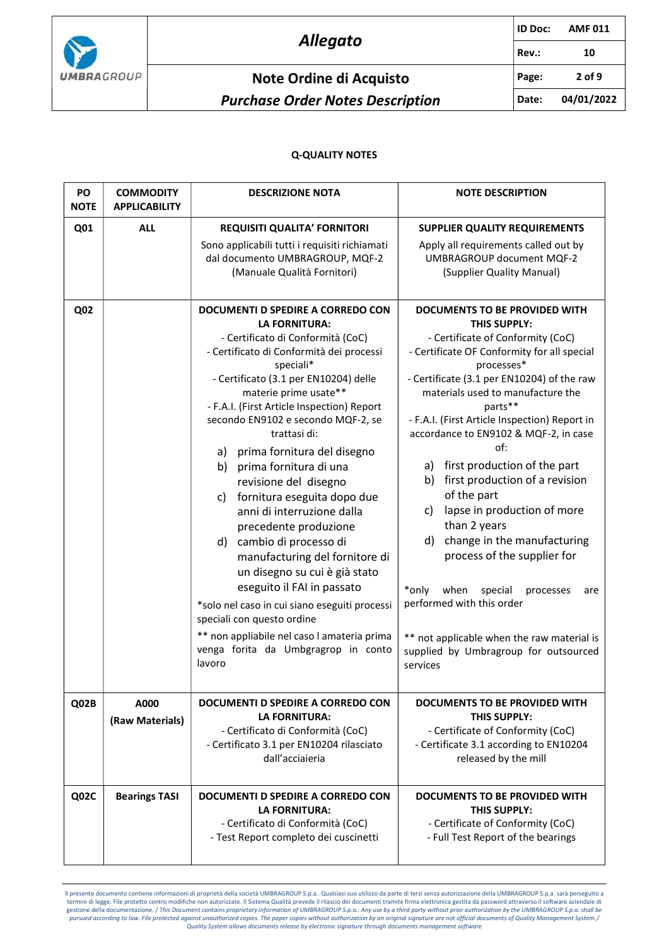

## Note Ordine di Acquisto Purchase Order Notes Description

#### Q-QUALITY NOTES

| PO<br><b>NOTE</b> | <b>COMMODITY</b><br><b>APPLICABILITY</b> | <b>DESCRIZIONE NOTA</b>                                                                                                                                                                                                                                                                                                                                                                                                                                                                                                                                                                                                                                                                                                                                                                                                                | <b>NOTE DESCRIPTION</b>                                                                                                                                                                                                                                                                                                                                                                                                                                                                                                                                                                                                                                                                                                                                  |
|-------------------|------------------------------------------|----------------------------------------------------------------------------------------------------------------------------------------------------------------------------------------------------------------------------------------------------------------------------------------------------------------------------------------------------------------------------------------------------------------------------------------------------------------------------------------------------------------------------------------------------------------------------------------------------------------------------------------------------------------------------------------------------------------------------------------------------------------------------------------------------------------------------------------|----------------------------------------------------------------------------------------------------------------------------------------------------------------------------------------------------------------------------------------------------------------------------------------------------------------------------------------------------------------------------------------------------------------------------------------------------------------------------------------------------------------------------------------------------------------------------------------------------------------------------------------------------------------------------------------------------------------------------------------------------------|
| Q01               | <b>ALL</b>                               | <b>REQUISITI QUALITA' FORNITORI</b><br>Sono applicabili tutti i requisiti richiamati<br>dal documento UMBRAGROUP, MQF-2<br>(Manuale Qualità Fornitori)                                                                                                                                                                                                                                                                                                                                                                                                                                                                                                                                                                                                                                                                                 | <b>SUPPLIER QUALITY REQUIREMENTS</b><br>Apply all requirements called out by<br><b>UMBRAGROUP document MQF-2</b><br>(Supplier Quality Manual)                                                                                                                                                                                                                                                                                                                                                                                                                                                                                                                                                                                                            |
| Q02               |                                          | DOCUMENTI D SPEDIRE A CORREDO CON<br><b>LA FORNITURA:</b><br>- Certificato di Conformità (CoC)<br>- Certificato di Conformità dei processi<br>speciali*<br>- Certificato (3.1 per EN10204) delle<br>materie prime usate**<br>- F.A.I. (First Article Inspection) Report<br>secondo EN9102 e secondo MQF-2, se<br>trattasi di:<br>prima fornitura del disegno<br>a)<br>prima fornitura di una<br>b)<br>revisione del disegno<br>fornitura eseguita dopo due<br>C)<br>anni di interruzione dalla<br>precedente produzione<br>cambio di processo di<br>d)<br>manufacturing del fornitore di<br>un disegno su cui è già stato<br>eseguito il FAI in passato<br>*solo nel caso in cui siano eseguiti processi<br>speciali con questo ordine<br>** non appliabile nel caso l amateria prima<br>venga forita da Umbgragrop in conto<br>lavoro | <b>DOCUMENTS TO BE PROVIDED WITH</b><br>THIS SUPPLY:<br>- Certificate of Conformity (CoC)<br>- Certificate OF Conformity for all special<br>processes*<br>- Certificate (3.1 per EN10204) of the raw<br>materials used to manufacture the<br>parts**<br>- F.A.I. (First Article Inspection) Report in<br>accordance to EN9102 & MQF-2, in case<br>of:<br>a) first production of the part<br>first production of a revision<br>b)<br>of the part<br>lapse in production of more<br>c)<br>than 2 years<br>change in the manufacturing<br>d)<br>process of the supplier for<br>*only<br>when<br>special<br>processes<br>are<br>performed with this order<br>** not applicable when the raw material is<br>supplied by Umbragroup for outsourced<br>services |
| Q02B              | A000<br>(Raw Materials)                  | DOCUMENTI D SPEDIRE A CORREDO CON<br><b>LA FORNITURA:</b><br>- Certificato di Conformità (CoC)<br>- Certificato 3.1 per EN10204 rilasciato<br>dall'acciaieria                                                                                                                                                                                                                                                                                                                                                                                                                                                                                                                                                                                                                                                                          | DOCUMENTS TO BE PROVIDED WITH<br>THIS SUPPLY:<br>- Certificate of Conformity (CoC)<br>- Certificate 3.1 according to EN10204<br>released by the mill                                                                                                                                                                                                                                                                                                                                                                                                                                                                                                                                                                                                     |
| Q02C              | <b>Bearings TASI</b>                     | DOCUMENTI D SPEDIRE A CORREDO CON<br><b>LA FORNITURA:</b><br>- Certificato di Conformità (CoC)<br>- Test Report completo dei cuscinetti                                                                                                                                                                                                                                                                                                                                                                                                                                                                                                                                                                                                                                                                                                | <b>DOCUMENTS TO BE PROVIDED WITH</b><br>THIS SUPPLY:<br>- Certificate of Conformity (CoC)<br>- Full Test Report of the bearings                                                                                                                                                                                                                                                                                                                                                                                                                                                                                                                                                                                                                          |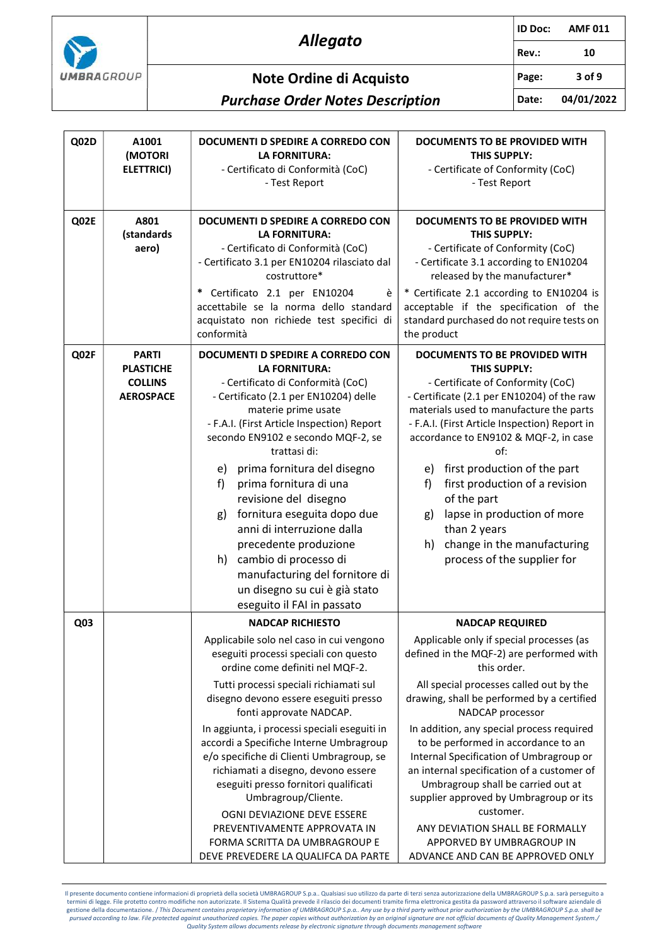

| <b>ID Doc:</b> | <b>AMF 011</b> |
|----------------|----------------|
| Rev.:          | 10             |
| Page:          | 3 of 9         |
| Date:          | 04/01/2022     |

### Note Ordine di Acquisto

### Purchase Order Notes Description

| Q02D            | A1001<br>(MOTORI<br><b>ELETTRICI)</b>                                  | DOCUMENTI D SPEDIRE A CORREDO CON<br><b>LA FORNITURA:</b><br>- Certificato di Conformità (CoC)<br>- Test Report                                                                                                                                                                                                                                                                                                                                                                                                                                                                                                                                    | <b>DOCUMENTS TO BE PROVIDED WITH</b><br><b>THIS SUPPLY:</b><br>- Certificate of Conformity (CoC)<br>- Test Report                                                                                                                                                                                                                                                                                                                                                                                                                                                                                                        |
|-----------------|------------------------------------------------------------------------|----------------------------------------------------------------------------------------------------------------------------------------------------------------------------------------------------------------------------------------------------------------------------------------------------------------------------------------------------------------------------------------------------------------------------------------------------------------------------------------------------------------------------------------------------------------------------------------------------------------------------------------------------|--------------------------------------------------------------------------------------------------------------------------------------------------------------------------------------------------------------------------------------------------------------------------------------------------------------------------------------------------------------------------------------------------------------------------------------------------------------------------------------------------------------------------------------------------------------------------------------------------------------------------|
| Q02E            | A801<br>(standards<br>aero)                                            | DOCUMENTI D SPEDIRE A CORREDO CON<br><b>LA FORNITURA:</b><br>- Certificato di Conformità (CoC)<br>- Certificato 3.1 per EN10204 rilasciato dal<br>costruttore*<br>* Certificato 2.1 per EN10204<br>è<br>accettabile se la norma dello standard<br>acquistato non richiede test specifici di<br>conformità                                                                                                                                                                                                                                                                                                                                          | <b>DOCUMENTS TO BE PROVIDED WITH</b><br><b>THIS SUPPLY:</b><br>- Certificate of Conformity (CoC)<br>- Certificate 3.1 according to EN10204<br>released by the manufacturer*<br>* Certificate 2.1 according to EN10204 is<br>acceptable if the specification of the<br>standard purchased do not require tests on<br>the product                                                                                                                                                                                                                                                                                          |
| Q02F            | <b>PARTI</b><br><b>PLASTICHE</b><br><b>COLLINS</b><br><b>AEROSPACE</b> | DOCUMENTI D SPEDIRE A CORREDO CON<br><b>LA FORNITURA:</b><br>- Certificato di Conformità (CoC)<br>- Certificato (2.1 per EN10204) delle<br>materie prime usate<br>- F.A.I. (First Article Inspection) Report<br>secondo EN9102 e secondo MQF-2, se<br>trattasi di:<br>prima fornitura del disegno<br>e)<br>prima fornitura di una<br>f<br>revisione del disegno<br>fornitura eseguita dopo due<br>g)<br>anni di interruzione dalla<br>precedente produzione<br>cambio di processo di<br>h)<br>manufacturing del fornitore di<br>un disegno su cui è già stato<br>eseguito il FAI in passato                                                        | DOCUMENTS TO BE PROVIDED WITH<br><b>THIS SUPPLY:</b><br>- Certificate of Conformity (CoC)<br>- Certificate (2.1 per EN10204) of the raw<br>materials used to manufacture the parts<br>- F.A.I. (First Article Inspection) Report in<br>accordance to EN9102 & MQF-2, in case<br>of:<br>first production of the part<br>e)<br>first production of a revision<br>f<br>of the part<br>lapse in production of more<br>g)<br>than 2 years<br>change in the manufacturing<br>h)<br>process of the supplier for                                                                                                                 |
| Q <sub>03</sub> |                                                                        | <b>NADCAP RICHIESTO</b><br>Applicabile solo nel caso in cui vengono<br>eseguiti processi speciali con questo<br>ordine come definiti nel MQF-2.<br>Tutti processi speciali richiamati sul<br>disegno devono essere eseguiti presso<br>fonti approvate NADCAP.<br>In aggiunta, i processi speciali eseguiti in<br>accordi a Specifiche Interne Umbragroup<br>e/o specifiche di Clienti Umbragroup, se<br>richiamati a disegno, devono essere<br>eseguiti presso fornitori qualificati<br>Umbragroup/Cliente.<br>OGNI DEVIAZIONE DEVE ESSERE<br>PREVENTIVAMENTE APPROVATA IN<br>FORMA SCRITTA DA UMBRAGROUP E<br>DEVE PREVEDERE LA QUALIFCA DA PARTE | <b>NADCAP REQUIRED</b><br>Applicable only if special processes (as<br>defined in the MQF-2) are performed with<br>this order.<br>All special processes called out by the<br>drawing, shall be performed by a certified<br>NADCAP processor<br>In addition, any special process required<br>to be performed in accordance to an<br>Internal Specification of Umbragroup or<br>an internal specification of a customer of<br>Umbragroup shall be carried out at<br>supplier approved by Umbragroup or its<br>customer.<br>ANY DEVIATION SHALL BE FORMALLY<br>APPORVED BY UMBRAGROUP IN<br>ADVANCE AND CAN BE APPROVED ONLY |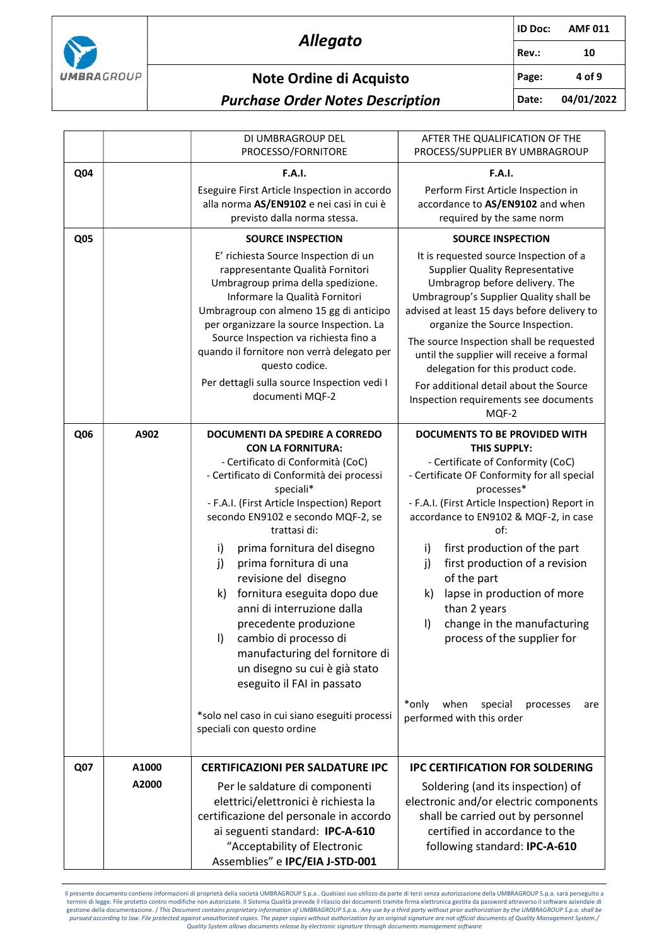

| <b>ID Doc:</b> | <b>AMF 011</b> |
|----------------|----------------|
| Rev.:          | 10             |
| Page:          | 4 of 9         |
| Date:          | 04/01/2022     |

## Note Ordine di Acquisto

### Purchase Order Notes Description

|     |       | DI UMBRAGROUP DEL<br>PROCESSO/FORNITORE                                                                                                                                                                                                                                                                                                                                                                                                                                                                                                                                                                                              | AFTER THE QUALIFICATION OF THE<br>PROCESS/SUPPLIER BY UMBRAGROUP                                                                                                                                                                                                                                                                                                                                                                                                                                                                                                |
|-----|-------|--------------------------------------------------------------------------------------------------------------------------------------------------------------------------------------------------------------------------------------------------------------------------------------------------------------------------------------------------------------------------------------------------------------------------------------------------------------------------------------------------------------------------------------------------------------------------------------------------------------------------------------|-----------------------------------------------------------------------------------------------------------------------------------------------------------------------------------------------------------------------------------------------------------------------------------------------------------------------------------------------------------------------------------------------------------------------------------------------------------------------------------------------------------------------------------------------------------------|
| Q04 |       | F.A.I.                                                                                                                                                                                                                                                                                                                                                                                                                                                                                                                                                                                                                               | <b>F.A.I.</b>                                                                                                                                                                                                                                                                                                                                                                                                                                                                                                                                                   |
|     |       | Eseguire First Article Inspection in accordo<br>alla norma AS/EN9102 e nei casi in cui è<br>previsto dalla norma stessa.                                                                                                                                                                                                                                                                                                                                                                                                                                                                                                             | Perform First Article Inspection in<br>accordance to AS/EN9102 and when<br>required by the same norm                                                                                                                                                                                                                                                                                                                                                                                                                                                            |
| Q05 |       | <b>SOURCE INSPECTION</b>                                                                                                                                                                                                                                                                                                                                                                                                                                                                                                                                                                                                             | <b>SOURCE INSPECTION</b>                                                                                                                                                                                                                                                                                                                                                                                                                                                                                                                                        |
|     |       | E' richiesta Source Inspection di un<br>rappresentante Qualità Fornitori<br>Umbragroup prima della spedizione.<br>Informare la Qualità Fornitori<br>Umbragroup con almeno 15 gg di anticipo<br>per organizzare la source Inspection. La<br>Source Inspection va richiesta fino a<br>quando il fornitore non verrà delegato per<br>questo codice.<br>Per dettagli sulla source Inspection vedi I                                                                                                                                                                                                                                      | It is requested source Inspection of a<br><b>Supplier Quality Representative</b><br>Umbragrop before delivery. The<br>Umbragroup's Supplier Quality shall be<br>advised at least 15 days before delivery to<br>organize the Source Inspection.<br>The source Inspection shall be requested<br>until the supplier will receive a formal<br>delegation for this product code.                                                                                                                                                                                     |
|     |       | documenti MQF-2                                                                                                                                                                                                                                                                                                                                                                                                                                                                                                                                                                                                                      | For additional detail about the Source<br>Inspection requirements see documents<br>MQF-2                                                                                                                                                                                                                                                                                                                                                                                                                                                                        |
| Q06 | A902  | DOCUMENTI DA SPEDIRE A CORREDO<br><b>CON LA FORNITURA:</b><br>- Certificato di Conformità (CoC)<br>- Certificato di Conformità dei processi<br>speciali*<br>- F.A.I. (First Article Inspection) Report<br>secondo EN9102 e secondo MQF-2, se<br>trattasi di:<br>prima fornitura del disegno<br>i)<br>prima fornitura di una<br>j)<br>revisione del disegno<br>fornitura eseguita dopo due<br>k)<br>anni di interruzione dalla<br>precedente produzione<br>I) cambio di processo di<br>manufacturing del fornitore di<br>un disegno su cui è già stato<br>eseguito il FAI in passato<br>*solo nel caso in cui siano eseguiti processi | <b>DOCUMENTS TO BE PROVIDED WITH</b><br>THIS SUPPLY:<br>- Certificate of Conformity (CoC)<br>- Certificate OF Conformity for all special<br>processes*<br>- F.A.I. (First Article Inspection) Report in<br>accordance to EN9102 & MQF-2, in case<br>of:<br>first production of the part<br>i)<br>first production of a revision<br>j)<br>of the part<br>lapse in production of more<br>k)<br>than 2 years<br>change in the manufacturing<br>$\vert$<br>process of the supplier for<br>*only<br>when<br>special<br>processes<br>are<br>performed with this order |
|     |       | speciali con questo ordine                                                                                                                                                                                                                                                                                                                                                                                                                                                                                                                                                                                                           |                                                                                                                                                                                                                                                                                                                                                                                                                                                                                                                                                                 |
| Q07 | A1000 | <b>CERTIFICAZIONI PER SALDATURE IPC</b>                                                                                                                                                                                                                                                                                                                                                                                                                                                                                                                                                                                              | <b>IPC CERTIFICATION FOR SOLDERING</b>                                                                                                                                                                                                                                                                                                                                                                                                                                                                                                                          |
|     | A2000 | Per le saldature di componenti<br>elettrici/elettronici è richiesta la<br>certificazione del personale in accordo<br>ai seguenti standard: IPC-A-610<br>"Acceptability of Electronic<br>Assemblies" e IPC/EIA J-STD-001                                                                                                                                                                                                                                                                                                                                                                                                              | Soldering (and its inspection) of<br>electronic and/or electric components<br>shall be carried out by personnel<br>certified in accordance to the<br>following standard: IPC-A-610                                                                                                                                                                                                                                                                                                                                                                              |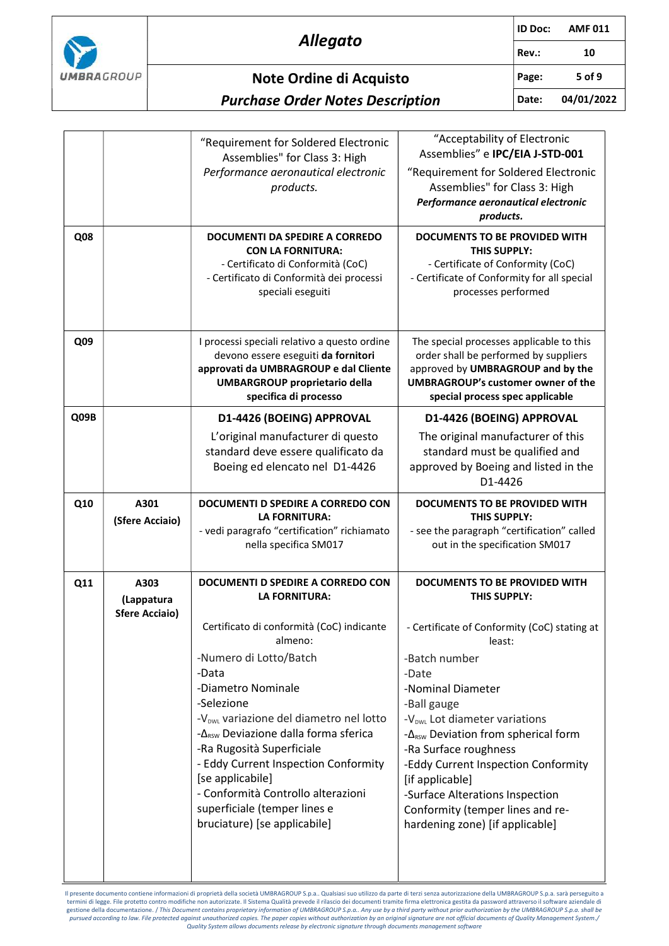

| <b>ID Doc:</b> | <b>AMF 011</b> |
|----------------|----------------|
| Rev.:          | 10             |
| Page:          | 5 of 9         |
| Date:          | 04/01/2022     |

### Note Ordine di Acquisto

### Purchase Order Notes Description

|      |                                             | "Requirement for Soldered Electronic<br>Assemblies" for Class 3: High<br>Performance aeronautical electronic<br>products.                                                                     | "Acceptability of Electronic<br>Assemblies" e IPC/EIA J-STD-001<br>"Requirement for Soldered Electronic<br>Assemblies" for Class 3: High<br>Performance aeronautical electronic<br>products.           |
|------|---------------------------------------------|-----------------------------------------------------------------------------------------------------------------------------------------------------------------------------------------------|--------------------------------------------------------------------------------------------------------------------------------------------------------------------------------------------------------|
| Q08  |                                             | DOCUMENTI DA SPEDIRE A CORREDO<br><b>CON LA FORNITURA:</b><br>- Certificato di Conformità (CoC)<br>- Certificato di Conformità dei processi<br>speciali eseguiti                              | <b>DOCUMENTS TO BE PROVIDED WITH</b><br>THIS SUPPLY:<br>- Certificate of Conformity (CoC)<br>- Certificate of Conformity for all special<br>processes performed                                        |
| Q09  |                                             | I processi speciali relativo a questo ordine<br>devono essere eseguiti da fornitori<br>approvati da UMBRAGROUP e dal Cliente<br><b>UMBARGROUP proprietario della</b><br>specifica di processo | The special processes applicable to this<br>order shall be performed by suppliers<br>approved by UMBRAGROUP and by the<br><b>UMBRAGROUP's customer owner of the</b><br>special process spec applicable |
| Q09B |                                             | D1-4426 (BOEING) APPROVAL                                                                                                                                                                     | D1-4426 (BOEING) APPROVAL                                                                                                                                                                              |
|      |                                             | L'original manufacturer di questo<br>standard deve essere qualificato da<br>Boeing ed elencato nel D1-4426                                                                                    | The original manufacturer of this<br>standard must be qualified and<br>approved by Boeing and listed in the<br>D1-4426                                                                                 |
| Q10  | A301                                        | DOCUMENTI D SPEDIRE A CORREDO CON<br><b>LA FORNITURA:</b>                                                                                                                                     | <b>DOCUMENTS TO BE PROVIDED WITH</b><br>THIS SUPPLY:                                                                                                                                                   |
|      | (Sfere Acciaio)                             | - vedi paragrafo "certification" richiamato<br>nella specifica SM017                                                                                                                          | - see the paragraph "certification" called<br>out in the specification SM017                                                                                                                           |
| Q11  | A303<br>(Lappatura<br><b>Sfere Acciaio)</b> | DOCUMENTI D SPEDIRE A CORREDO CON<br><b>LA FORNITURA:</b>                                                                                                                                     | <b>DOCUMENTS TO BE PROVIDED WITH</b><br>THIS SUPPLY:                                                                                                                                                   |
|      |                                             | Certificato di conformità (CoC) indicante<br>almeno:                                                                                                                                          | - Certificate of Conformity (CoC) stating at<br>least:                                                                                                                                                 |
|      |                                             | -Numero di Lotto/Batch                                                                                                                                                                        | -Batch number                                                                                                                                                                                          |
|      |                                             | -Data                                                                                                                                                                                         | -Date                                                                                                                                                                                                  |
|      |                                             | -Diametro Nominale<br>-Selezione                                                                                                                                                              | -Nominal Diameter<br>-Ball gauge                                                                                                                                                                       |
|      |                                             | -V <sub>DWL</sub> variazione del diametro nel lotto                                                                                                                                           | -V <sub>DWL</sub> Lot diameter variations                                                                                                                                                              |
|      |                                             | $-\Delta_{\text{RSW}}$ Deviazione dalla forma sferica<br>-Ra Rugosità Superficiale                                                                                                            | $-\Delta_{\text{RSW}}$ Deviation from spherical form                                                                                                                                                   |
|      |                                             | - Eddy Current Inspection Conformity                                                                                                                                                          | -Ra Surface roughness<br>-Eddy Current Inspection Conformity                                                                                                                                           |
|      |                                             | [se applicabile]<br>- Conformità Controllo alterazioni                                                                                                                                        | [if applicable]                                                                                                                                                                                        |
|      |                                             | superficiale (temper lines e                                                                                                                                                                  | -Surface Alterations Inspection<br>Conformity (temper lines and re-                                                                                                                                    |
|      |                                             | bruciature) [se applicabile]                                                                                                                                                                  | hardening zone) [if applicable]                                                                                                                                                                        |
|      |                                             |                                                                                                                                                                                               |                                                                                                                                                                                                        |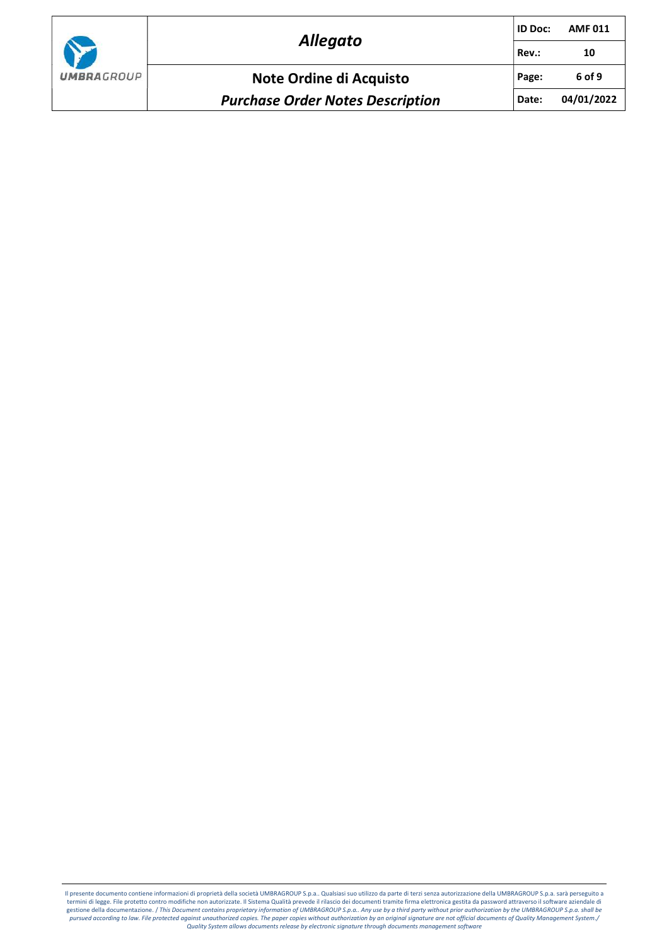|                   | <b>Allegato</b>                                                    | <b>ID Doc:</b> | <b>AMF 011</b> |
|-------------------|--------------------------------------------------------------------|----------------|----------------|
|                   |                                                                    | Rev.:          | 10             |
| <b>UMBRAGROUP</b> | Note Ordine di Acquisto<br><b>Purchase Order Notes Description</b> | Page:          | 6 of 9         |
|                   |                                                                    | Date:          | 04/01/2022     |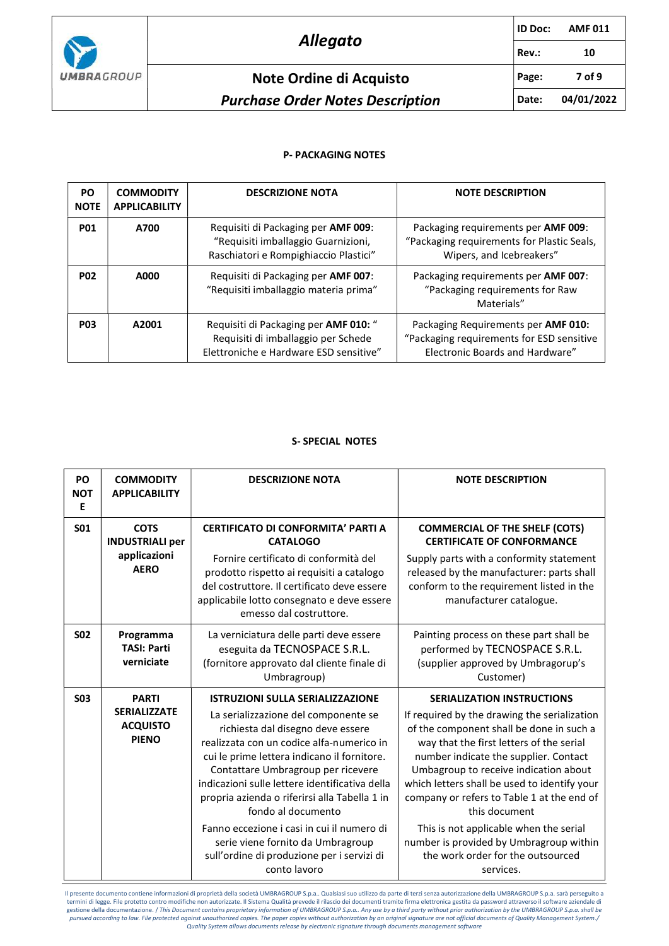

# Purchase Order Notes Description

#### P- PACKAGING NOTES

| PO.<br><b>NOTE</b> | <b>COMMODITY</b><br><b>APPLICABILITY</b> | <b>DESCRIZIONE NOTA</b>                                                                                                | <b>NOTE DESCRIPTION</b>                                                                                             |
|--------------------|------------------------------------------|------------------------------------------------------------------------------------------------------------------------|---------------------------------------------------------------------------------------------------------------------|
| <b>P01</b>         | A700                                     | Requisiti di Packaging per AMF 009:<br>"Requisiti imballaggio Guarnizioni,<br>Raschiatori e Rompighiaccio Plastici"    | Packaging requirements per AMF 009:<br>"Packaging requirements for Plastic Seals,<br>Wipers, and Icebreakers"       |
| <b>P02</b>         | A000                                     | Requisiti di Packaging per AMF 007:<br>"Requisiti imballaggio materia prima"                                           | Packaging requirements per AMF 007:<br>"Packaging requirements for Raw<br>Materials"                                |
| <b>P03</b>         | A2001                                    | Requisiti di Packaging per AMF 010: "<br>Requisiti di imballaggio per Schede<br>Elettroniche e Hardware ESD sensitive" | Packaging Requirements per AMF 010:<br>"Packaging requirements for ESD sensitive<br>Electronic Boards and Hardware" |

#### S- SPECIAL NOTES

| PO<br><b>NOT</b><br>Е | <b>COMMODITY</b><br><b>APPLICABILITY</b>                               | <b>DESCRIZIONE NOTA</b>                                                                                                                                                                                                                                                                                                                                                                                                                                                                                                          | <b>NOTE DESCRIPTION</b>                                                                                                                                                                                                                                                                                                                                                                                                                                                                                           |
|-----------------------|------------------------------------------------------------------------|----------------------------------------------------------------------------------------------------------------------------------------------------------------------------------------------------------------------------------------------------------------------------------------------------------------------------------------------------------------------------------------------------------------------------------------------------------------------------------------------------------------------------------|-------------------------------------------------------------------------------------------------------------------------------------------------------------------------------------------------------------------------------------------------------------------------------------------------------------------------------------------------------------------------------------------------------------------------------------------------------------------------------------------------------------------|
| <b>SO1</b>            | <b>COTS</b><br><b>INDUSTRIALI per</b>                                  | <b>CERTIFICATO DI CONFORMITA' PARTI A</b><br><b>CATALOGO</b>                                                                                                                                                                                                                                                                                                                                                                                                                                                                     | <b>COMMERCIAL OF THE SHELF (COTS)</b><br><b>CERTIFICATE OF CONFORMANCE</b>                                                                                                                                                                                                                                                                                                                                                                                                                                        |
|                       | applicazioni<br><b>AERO</b>                                            | Fornire certificato di conformità del<br>prodotto rispetto ai requisiti a catalogo<br>del costruttore. Il certificato deve essere<br>applicabile lotto consegnato e deve essere<br>emesso dal costruttore.                                                                                                                                                                                                                                                                                                                       | Supply parts with a conformity statement<br>released by the manufacturer: parts shall<br>conform to the requirement listed in the<br>manufacturer catalogue.                                                                                                                                                                                                                                                                                                                                                      |
| <b>SO2</b>            | Programma<br><b>TASI: Parti</b><br>verniciate                          | La verniciatura delle parti deve essere<br>eseguita da TECNOSPACE S.R.L.<br>(fornitore approvato dal cliente finale di<br>Umbragroup)                                                                                                                                                                                                                                                                                                                                                                                            | Painting process on these part shall be<br>performed by TECNOSPACE S.R.L.<br>(supplier approved by Umbragorup's<br>Customer)                                                                                                                                                                                                                                                                                                                                                                                      |
| <b>SO3</b>            | <b>PARTI</b><br><b>SERIALIZZATE</b><br><b>ACQUISTO</b><br><b>PIENO</b> | <b>ISTRUZIONI SULLA SERIALIZZAZIONE</b><br>La serializzazione del componente se<br>richiesta dal disegno deve essere<br>realizzata con un codice alfa-numerico in<br>cui le prime lettera indicano il fornitore.<br>Contattare Umbragroup per ricevere<br>indicazioni sulle lettere identificativa della<br>propria azienda o riferirsi alla Tabella 1 in<br>fondo al documento<br>Fanno eccezione i casi in cui il numero di<br>serie viene fornito da Umbragroup<br>sull'ordine di produzione per i servizi di<br>conto lavoro | <b>SERIALIZATION INSTRUCTIONS</b><br>If required by the drawing the serialization<br>of the component shall be done in such a<br>way that the first letters of the serial<br>number indicate the supplier. Contact<br>Umbagroup to receive indication about<br>which letters shall be used to identify your<br>company or refers to Table 1 at the end of<br>this document<br>This is not applicable when the serial<br>number is provided by Umbragroup within<br>the work order for the outsourced<br>services. |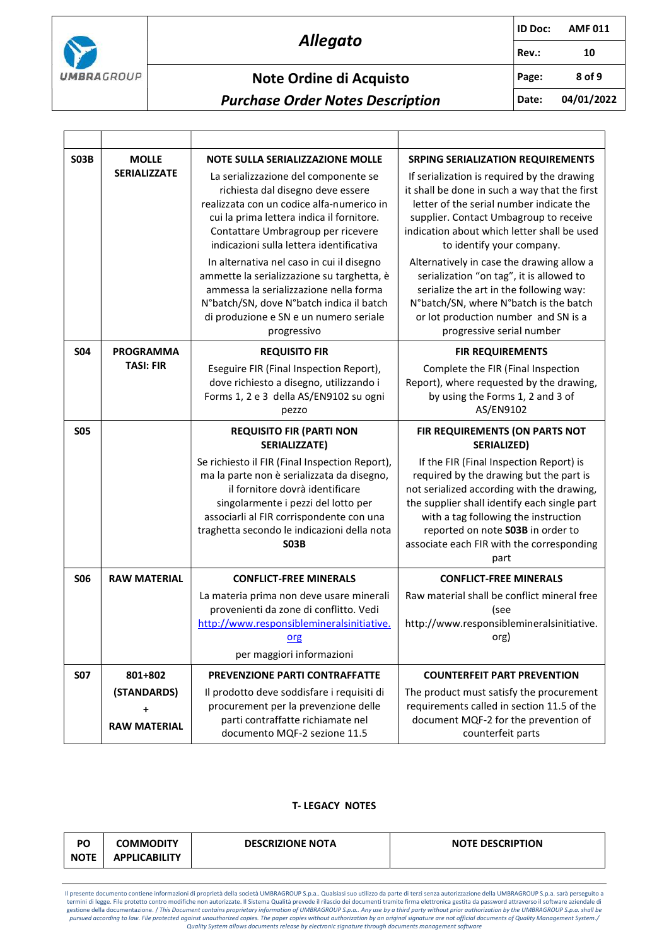

| <b>ID Doc:</b> | <b>AMF 011</b> |
|----------------|----------------|
| Rev.:          | 10             |
| Page:          | 8 of 9         |
| Date:          | 04/01/2022     |

### Note Ordine di Acquisto

### Purchase Order Notes Description

| <b>S03B</b> | <b>MOLLE</b><br><b>SERIALIZZATE</b> | <b>NOTE SULLA SERIALIZZAZIONE MOLLE</b><br>La serializzazione del componente se<br>richiesta dal disegno deve essere<br>realizzata con un codice alfa-numerico in<br>cui la prima lettera indica il fornitore.<br>Contattare Umbragroup per ricevere<br>indicazioni sulla lettera identificativa<br>In alternativa nel caso in cui il disegno<br>ammette la serializzazione su targhetta, è<br>ammessa la serializzazione nella forma<br>N°batch/SN, dove N°batch indica il batch<br>di produzione e SN e un numero seriale<br>progressivo | <b>SRPING SERIALIZATION REQUIREMENTS</b><br>If serialization is required by the drawing<br>it shall be done in such a way that the first<br>letter of the serial number indicate the<br>supplier. Contact Umbagroup to receive<br>indication about which letter shall be used<br>to identify your company.<br>Alternatively in case the drawing allow a<br>serialization "on tag", it is allowed to<br>serialize the art in the following way:<br>N°batch/SN, where N°batch is the batch<br>or lot production number and SN is a<br>progressive serial number |
|-------------|-------------------------------------|--------------------------------------------------------------------------------------------------------------------------------------------------------------------------------------------------------------------------------------------------------------------------------------------------------------------------------------------------------------------------------------------------------------------------------------------------------------------------------------------------------------------------------------------|---------------------------------------------------------------------------------------------------------------------------------------------------------------------------------------------------------------------------------------------------------------------------------------------------------------------------------------------------------------------------------------------------------------------------------------------------------------------------------------------------------------------------------------------------------------|
| <b>SO4</b>  | <b>PROGRAMMA</b>                    | <b>REQUISITO FIR</b>                                                                                                                                                                                                                                                                                                                                                                                                                                                                                                                       | <b>FIR REQUIREMENTS</b>                                                                                                                                                                                                                                                                                                                                                                                                                                                                                                                                       |
|             | <b>TASI: FIR</b>                    | Eseguire FIR (Final Inspection Report),<br>dove richiesto a disegno, utilizzando i<br>Forms 1, 2 e 3 della AS/EN9102 su ogni<br>pezzo                                                                                                                                                                                                                                                                                                                                                                                                      | Complete the FIR (Final Inspection<br>Report), where requested by the drawing,<br>by using the Forms 1, 2 and 3 of<br>AS/EN9102                                                                                                                                                                                                                                                                                                                                                                                                                               |
| <b>SO5</b>  |                                     | <b>REQUISITO FIR (PARTI NON</b>                                                                                                                                                                                                                                                                                                                                                                                                                                                                                                            | FIR REQUIREMENTS (ON PARTS NOT                                                                                                                                                                                                                                                                                                                                                                                                                                                                                                                                |
|             |                                     | <b>SERIALIZZATE)</b>                                                                                                                                                                                                                                                                                                                                                                                                                                                                                                                       | <b>SERIALIZED)</b>                                                                                                                                                                                                                                                                                                                                                                                                                                                                                                                                            |
|             |                                     | Se richiesto il FIR (Final Inspection Report),<br>ma la parte non è serializzata da disegno,<br>il fornitore dovrà identificare<br>singolarmente i pezzi del lotto per<br>associarli al FIR corrispondente con una<br>traghetta secondo le indicazioni della nota<br><b>S03B</b>                                                                                                                                                                                                                                                           | If the FIR (Final Inspection Report) is<br>required by the drawing but the part is<br>not serialized according with the drawing,<br>the supplier shall identify each single part<br>with a tag following the instruction<br>reported on note S03B in order to<br>associate each FIR with the corresponding<br>part                                                                                                                                                                                                                                            |
| <b>SO6</b>  | <b>RAW MATERIAL</b>                 | <b>CONFLICT-FREE MINERALS</b>                                                                                                                                                                                                                                                                                                                                                                                                                                                                                                              | <b>CONFLICT-FREE MINERALS</b>                                                                                                                                                                                                                                                                                                                                                                                                                                                                                                                                 |
|             |                                     | La materia prima non deve usare minerali<br>provenienti da zone di conflitto. Vedi                                                                                                                                                                                                                                                                                                                                                                                                                                                         | Raw material shall be conflict mineral free<br>(see                                                                                                                                                                                                                                                                                                                                                                                                                                                                                                           |
|             |                                     | http://www.responsiblemineralsinitiative.<br><u>org</u><br>per maggiori informazioni                                                                                                                                                                                                                                                                                                                                                                                                                                                       | http://www.responsiblemineralsinitiative.<br>org)                                                                                                                                                                                                                                                                                                                                                                                                                                                                                                             |
| <b>S07</b>  | 801+802                             | <b>PREVENZIONE PARTI CONTRAFFATTE</b>                                                                                                                                                                                                                                                                                                                                                                                                                                                                                                      | <b>COUNTERFEIT PART PREVENTION</b>                                                                                                                                                                                                                                                                                                                                                                                                                                                                                                                            |
|             | (STANDARDS)                         | Il prodotto deve soddisfare i requisiti di                                                                                                                                                                                                                                                                                                                                                                                                                                                                                                 | The product must satisfy the procurement                                                                                                                                                                                                                                                                                                                                                                                                                                                                                                                      |
|             | $\ddot{}$                           | procurement per la prevenzione delle<br>parti contraffatte richiamate nel                                                                                                                                                                                                                                                                                                                                                                                                                                                                  | requirements called in section 11.5 of the<br>document MQF-2 for the prevention of                                                                                                                                                                                                                                                                                                                                                                                                                                                                            |

#### T- LEGACY NOTES

| <b>PC</b>   | <b>COMMODITY</b>     | <b>DESCRIZIONE NOTA</b> | <b>NOTE DESCRIPTION</b> |
|-------------|----------------------|-------------------------|-------------------------|
| <b>NOTE</b> | <b>APPLICABILITY</b> |                         |                         |